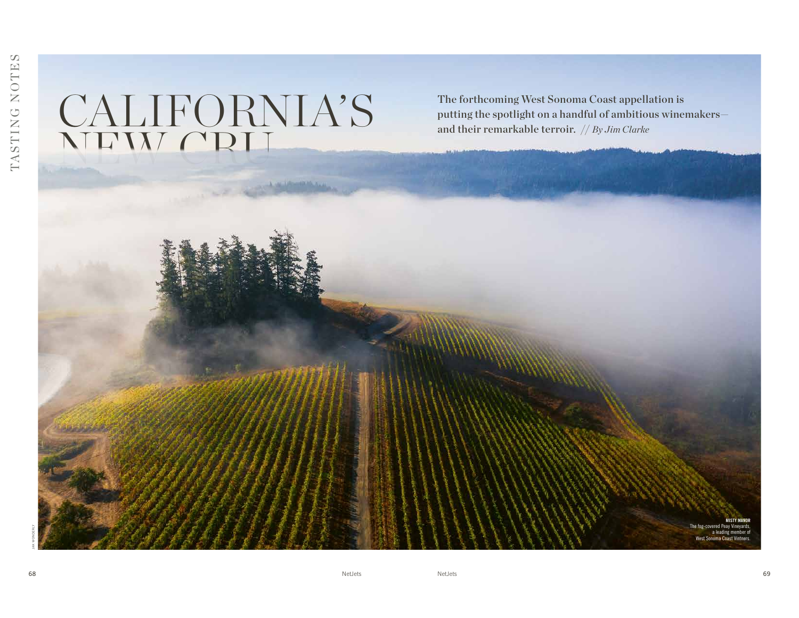## CALIFORNIA'S NEW CRU

The forthcoming West Sonoma Coast appellation is putting the spotlight on a handful of ambitious winemakers and their remarkable terroir. // *By Jim Clarke*

JAK WONDERLY

MISTY MANOR The fog-covered Peay Vineyards, a leading member of West Sonoma Coast Vintners.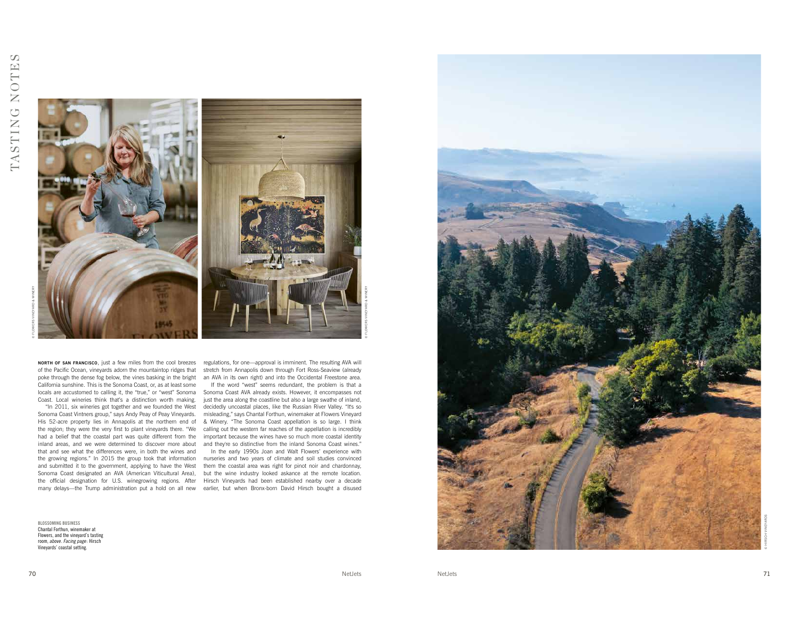

**мовтн ог sам гвамсіѕсо**, just a few miles from the cool breezes regulations, for one—approval is imminent. The resulting AVA will poke through the dense fog below, the vines basking in the bright an AVA in its own right) and into the Occidental Freestone area. California sunshine. This is the Sonoma Coast, or, as at least some Coast. Local wineries think that's a distinction worth making.

Sonoma Coast Vintners group," says Andy Peay of Peay Vineyards. misleading," says Chantal Forthun, winemaker at Flowers Vineyard the region; they were the very frst to plant vineyards there. "We calling out the western far reaches of the appellation is incredibly had a belief that the coastal part was quite different from the important because the wines have so much more coastal identity inland areas, and we were determined to discover more about and they're so distinctive from the inland Sonoma Coast wines." that and see what the differences were, in both the wines and the growing regions." In 2015 the group took that information nurseries and two years of climate and soil studies convinced and submitted it to the government, applying to have the West them the coastal area was right for pinot noir and chardonnay, Sonoma Coast designated an AVA (American Viticultural Area), but the wine industry looked askance at the remote location. the official designation for U.S. winegrowing regions. After Hirsch Vineyards had been established nearby over a decade many delays—the Trump administration put a hold on all new earlier, but when Bronx-born David Hirsch bought a disused

BLOSSOMING BUSINESS Chantal Forthun, winemaker at Flowers, and the vineyard's tasting room, above. Facing page: Hirsch Vineyards' coastal setting.

of the Pacifc Ocean, vineyards adorn the mountaintop ridges that stretch from Annapolis down through Fort Ross-Seaview (already

locals are accustomed to calling it, the "true," or "west" Sonoma Sonoma Coast AVA already exists. However, it encompasses not "In 2011, six wineries got together and we founded the West decidedly uncoastal places, like the Russian River Valley. "It's so His 52-acre property lies in Annapolis at the northern end of & Winery. "The Sonoma Coast appellation is so large. I think If the word "west" seems redundant, the problem is that a just the area along the coastline but also a large swathe of inland,

In the early 1990s Joan and Walt Flowers' experience with



© FLOWERS VINEYARD & WINERY

© HIRSCH VINEYARDS